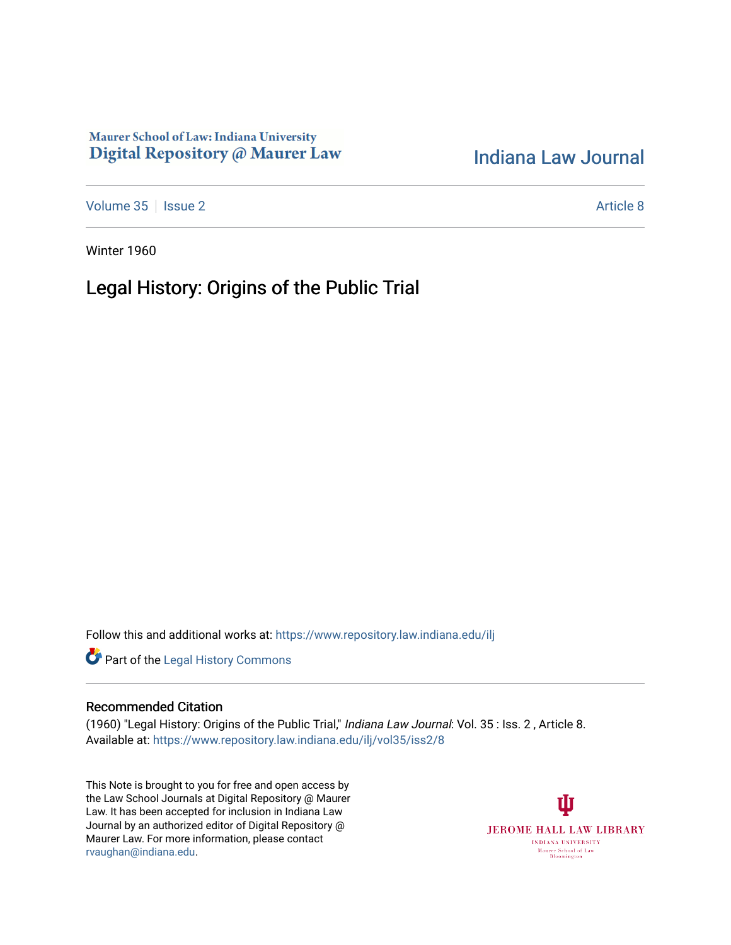## Maurer School of Law: Indiana University Digital Repository @ Maurer Law

## [Indiana Law Journal](https://www.repository.law.indiana.edu/ilj)

[Volume 35](https://www.repository.law.indiana.edu/ilj/vol35) | [Issue 2](https://www.repository.law.indiana.edu/ilj/vol35/iss2) Article 8

Winter 1960

# Legal History: Origins of the Public Trial

Follow this and additional works at: [https://www.repository.law.indiana.edu/ilj](https://www.repository.law.indiana.edu/ilj?utm_source=www.repository.law.indiana.edu%2Filj%2Fvol35%2Fiss2%2F8&utm_medium=PDF&utm_campaign=PDFCoverPages) 



#### Recommended Citation

(1960) "Legal History: Origins of the Public Trial," Indiana Law Journal: Vol. 35 : Iss. 2 , Article 8. Available at: [https://www.repository.law.indiana.edu/ilj/vol35/iss2/8](https://www.repository.law.indiana.edu/ilj/vol35/iss2/8?utm_source=www.repository.law.indiana.edu%2Filj%2Fvol35%2Fiss2%2F8&utm_medium=PDF&utm_campaign=PDFCoverPages) 

This Note is brought to you for free and open access by the Law School Journals at Digital Repository @ Maurer Law. It has been accepted for inclusion in Indiana Law Journal by an authorized editor of Digital Repository @ Maurer Law. For more information, please contact [rvaughan@indiana.edu.](mailto:rvaughan@indiana.edu)

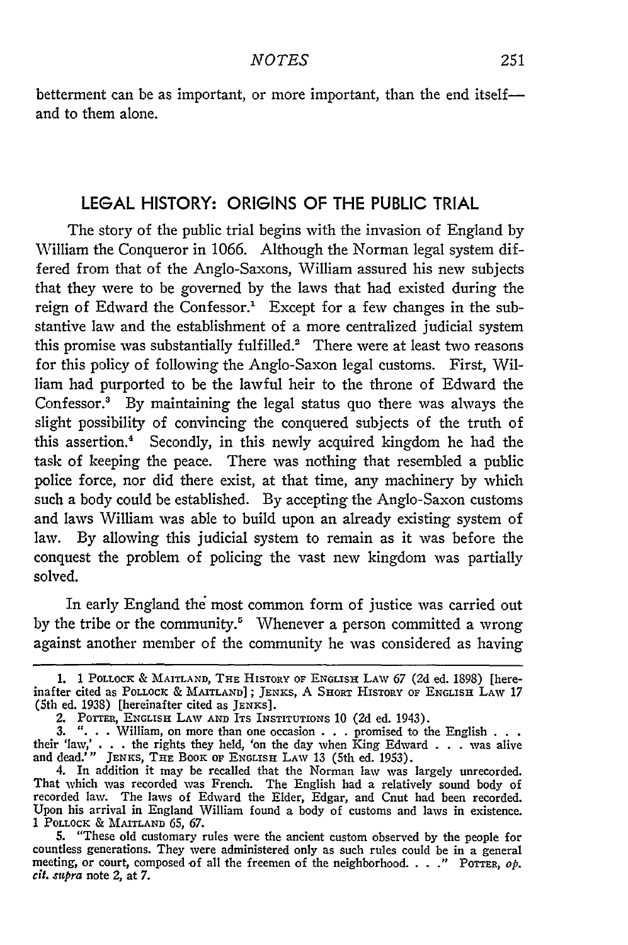#### **LEGAL** HISTORY: **ORIGINS** OF THE **PUBLIC** TRIAL

The story of the public trial begins with the invasion of England by William the Conqueror in 1066. Although the Norman legal system differed from that of the Anglo-Saxons, William assured his new subjects that they were to be governed by the laws that had existed during the reign of Edward the Confessor.' Except for a few changes in the substantive law and the establishment of a more centralized judicial system this promise was substantially fulfilled.<sup>2</sup> There were at least two reasons for this policy of following the Anglo-Saxon legal customs. First, William had purported to be the lawful heir to the throne of Edward the Confessor.' By maintaining the legal status quo there was always the slight possibility of convincing the conquered subjects of the truth of this assertion.' Secondly, in this newly acquired kingdom he had the task of keeping the peace. There was nothing that resembled a public police force, nor did there exist, at that time, any machinery by which such a body could be established. By accepting the Anglo-Saxon customs and laws William was able to build upon an already existing system of law. By allowing this judicial system to remain as it was before the conquest the problem of policing the vast new kingdom was partially solved.

In early England the most common form of justice was carried out by the tribe or the community.<sup>5</sup> Whenever a person committed a wrong against another member of the community he was considered as having

**<sup>1. 1</sup>** POLLOCK & MAITLAND, THE HISTORY OF ENGLISH LAW **67 (2d** ed. 1898) [hereinafter cited as **POLLOCK** & MAITLAND]; JENKS, A SHORT HISTORY OF ENGLISH LAW 17 (5th ed. 1938) [hereinafter cited as JENKS].

<sup>2.</sup> POTTER, ENGLISH LAW AND ITS INSTITUTIONS 10 (2d ed. 1943).

<sup>3.</sup> ". **.** . William, on more than one occasion . . .promised to the English **. . .** their 'law,' . . . the rights they held, 'on the day when King Edward . . .was alive and dead.'" JENKS, THE BOOK OF ENGLISH LAW 13 (5th ed. 1953).

<sup>4.</sup> In addition it may be recalled that the Norman law was largely unrecorded. That which was recorded was French. The English had a relatively sound body of recorded law. The laws of Edward the Elder, Edgar, and Cnut had been recorded. Upon his arrival in England William found a body of customs and laws in existence. 1 POLLOCK & MAITLAND 65, **67.**

<sup>5. &</sup>quot;These old customary rules were the ancient custom observed by the people for countless generations. They were administered only as such rules could be in a general meeting, or court, composed of all the freemen of the neighborhood. . . ." POTTER,  $o_p$ . *cir.* .upra note 2, at 7.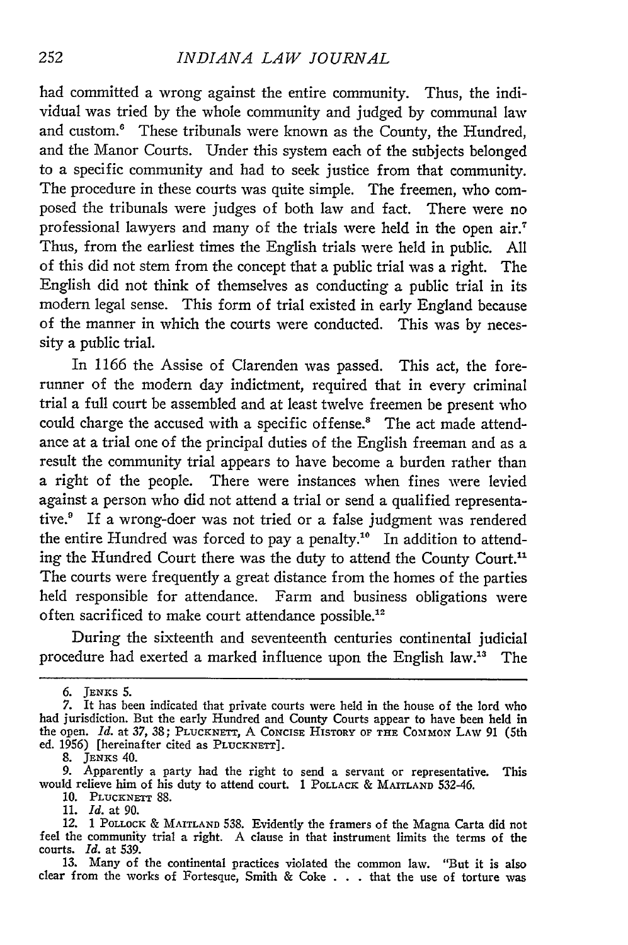#### *INDIANA LAW JOURNAL*

had committed a wrong against the entire community. Thus, the individual was tried by the whole community and judged by communal law and custom.<sup>6</sup> These tribunals were known as the County, the Hundred, and the Manor Courts. Under this system each of the subjects belonged to a specific community and had to seek justice from that community. The procedure in these courts was quite simple. The freemen, who composed the tribunals were judges of both law and fact. There were no professional lawyers and many of the trials were held in the open air.' Thus, from the earliest times the English trials were held in public. All of this did not stem from the concept that a public trial was a right. The English did not think of themselves as conducting a public trial in its modem legal sense. This form of trial existed in early England because of the manner in which the courts were conducted. This was by necessity a public trial.

In 1166 the Assise of Clarenden was passed. This act, the forerunner of the modern day indictment, required that in every criminal trial a full court be assembled and at least twelve freemen be present who could charge the accused with a specific offense.' The act made attendance at a trial one of the principal duties of the English freeman and as a result the community trial appears to have become a burden rather than a right of the people. There were instances when fines were levied against a person who did not attend a trial or send a qualified representative.9 If a wrong-doer was not tried or a false judgment was rendered the entire Hundred was forced to pay a penalty.<sup>10</sup> In addition to attending the Hundred Court there was the duty to attend the County Court."1 The courts were frequently a great distance from the homes of the parties held responsible for attendance. Farm and business obligations were often sacrificed to make court attendance possible.<sup>12</sup>

During the sixteenth and seventeenth centuries continental judicial procedure had exerted a marked influence upon the English law.'3 The

**8. JENKs** 40.

- 10. PLUCKNETT 88. 11. *Id.* at 90.
- 

13. Many of the continental practices violated the common law. "But it is also clear from the works of Fortesque, Smith & Coke . . . that the use of torture was

*<sup>6.</sup>* JENKS 5. 7. It has been indicated that private courts were held in the house of the lord who had jurisdiction. But the early Hundred and County Courts appear to have been held in the open. *Id.* at 37, 38; PLUCKNETT, A CONCISE HISTORY OF THE COMMON LAW 91 (5th ed. 1956) [hereinafter cited as PLUCKNETT].

<sup>9.</sup> Apparently a party had the right to send a servant or representative. This would relieve him of his duty to attend court. 1 **POLLACK** & MAITLAND 532-46.

*<sup>12.</sup>* 1 POLLOCK & **MAITLAND** 538. Evidently the framers of the Magna Carta did not feel the community trial a right. A clause in that instrument limits the terms of the courts. *Id.* at 539.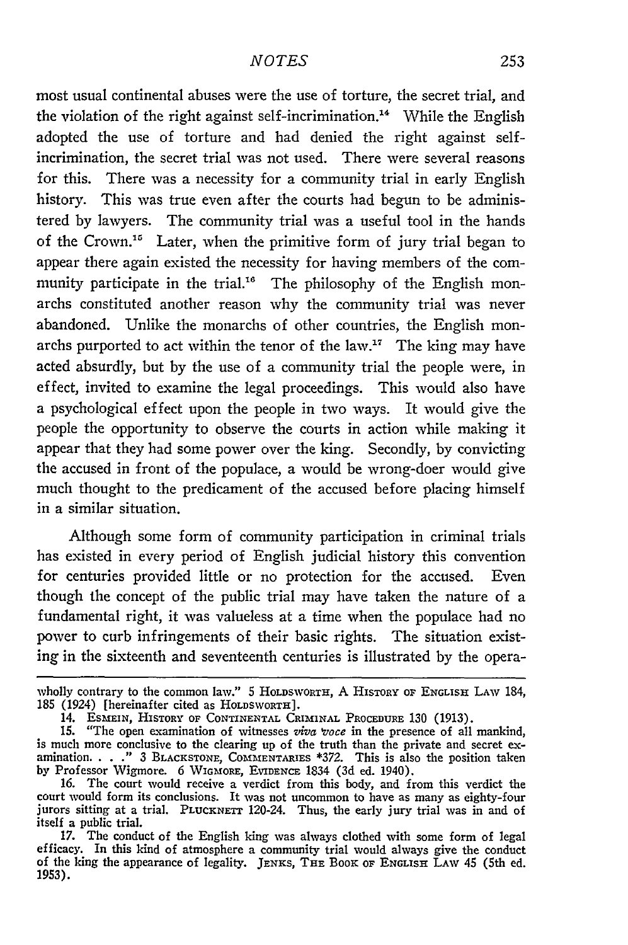most usual continental abuses were the use of torture, the secret trial, and the violation of the right against self-incrimination.<sup>14</sup> While the English adopted the use of torture and had denied the right against selfincrimination, the secret trial was not used. There were several reasons for this. There was a necessity for a community trial in early English history. This was true even after the courts had begun to be administered by lawyers. The community trial was a useful tool in the hands of the Crown.<sup>15</sup> Later, when the primitive form of jury trial began to appear there again existed the necessity for having members of the community participate in the trial.<sup>16</sup> The philosophy of the English monarchs constituted another reason why the community trial was never abandoned. Unlike the monarchs of other countries, the English monarchs purported to act within the tenor of the law." The king may have acted absurdly, but by the use of a community trial the people were, in effect, invited to examine the legal proceedings. This would also have a psychological effect upon the people in two ways. It would give the people the opportunity to observe the courts in action while making it appear that they had some power over the king. Secondly, **by** convicting the accused in front of the populace, a would be wrong-doer would give much thought to the predicament of the accused before placing himself in a similar situation.

Although some form of community participation in criminal trials has existed in every period of English judicial history this convention for centuries provided little or no protection for the accused. Even though the concept of the public trial may have taken the nature of a fundamental right, it was valueless at a time when the populace had no power to curb infringements of their basic rights. The situation existing in the sixteenth and seventeenth centuries is illustrated **by** the opera-

wholly contrary to the common law." 5 HOLDSWORTH, A HISTORY OF ENGLISH **LAW** 184, 185 (1924) [hereinafter cited as HOLDSWORTH].

<sup>14.</sup> ESMEIN, HISTORY OF CONTINENTAL CRIMINAL PROCEDURE 130 **(1913). 15.** "The open examination of witnesses *viva 'voce* in the presence of all mankind, is much more conclusive to the clearing up of the truth than the private and secret ex-<br>amination. . . ." 3 BLACKSTONE, COMMENTARIES \*372. This is also the position taken<br>by Professor Wigmore. 6 WIGMORE, EVIDENCE 1834 (3d

<sup>16.</sup> The court would receive a verdict from this body, and from this verdict the court would form its conclusions. It was not uncommon to have as many as eighty-four jurors sitting at a trial. PLUCKNETT 120-24. Thus, the early jury trial was in and of itself a public trial.

<sup>17.</sup> The conduct of the English king was always clothed with some form of legal efficacy. In this kind of atmosphere a community trial would always give the conduct of the king the appearance of legality. JENKS, **THE** BOOK OF **ENGLISH** LAw 45 (5th ed. 1953).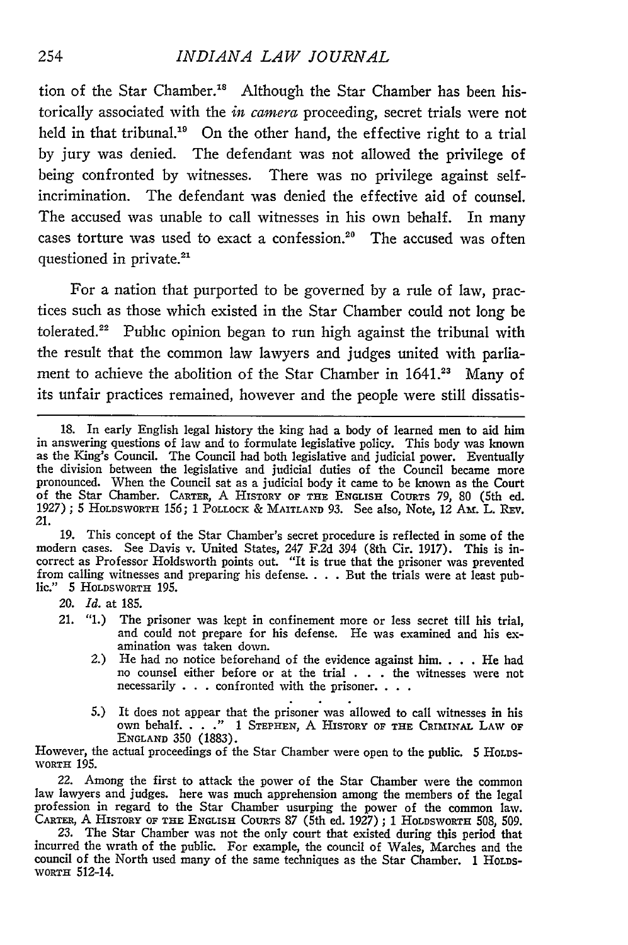#### *INDIANA LAW JOURNAL*

tion of the Star Chamber.<sup>18</sup> Although the Star Chamber has been historically associated with the *in camera* proceeding, secret trials were not held in that tribunal.<sup>19</sup> On the other hand, the effective right to a trial by jury was denied. The defendant was not allowed the privilege of being confronted by witnesses. There was no privilege against selfincrimination. The defendant was denied the effective aid of counsel. The accused was unable to call witnesses in his own behalf. In many cases torture was used to exact a confession.<sup>20</sup> The accused was ofter questioned in private.<sup>21</sup>

For a nation that purported to be governed by a rule of law, practices such as those which existed in the Star Chamber could not long be tolerated.<sup>22</sup> Public opinion began to run high against the tribunal with the result that the common law lawyers and judges united with parliament to achieve the abolition of the Star Chamber in 1641.<sup>23</sup> Many of its unfair practices remained, however and the people were still dissatis-

19. This concept of the Star Chamber's secret procedure is reflected in some of the modern cases. See Davis v. United States, 247 F.2d 394 (8th Cir. 1917). This is incorrect as Professor Holdsworth points out. "It is true that the prisoner was prevented from calling witnesses and preparing his defense .... But the trials were at least public." 5 HOLDSWORTH 195.

*20. Id.* at 185.

- 21. "1.) The prisoner was kept in confinement more or less secret till his trial, and could not prepare for his defense. He was examined and his examination was taken down.
	- *2.)* He had no notice beforehand of the evidence against him .... He had no counsel either before or at the trial . . . the witnesses were not necessarily . . . confronted with the prisoner. . . .
	- 5.) It does not appear that the prisoner was allowed to call witnesses in his own behalf. . . **."** 1 **STEPHEN,** A HISTORY **OF THE CRImiNAl.** LAW **OF ENGLAND** 350 (1883).

However, the actual proceedings of the Star Chamber were open to the public. 5 HOLDS-WORTH 195.

22. Among the first to attack the power of the Star Chamber were the common law lawyers and judges. here was much apprehension among the members of the legal profession in regard to the Star Chamber usurping the power of the common law. CARTER, A HISTORY OF **THE** ENGLISH COURTS **87** (5th ed. *1927)* ; 1 HOLDSWORTH 508, 509.

23. The Star Chamber was not the only court that existed during this period that incurred the wrath of the public. For example, the council of Wales, Marches and the council of the North used many of the same techniques as the Star Chamber. 1 HOLDS-*WORTH* 512-14.

**<sup>18.</sup>** In early English legal history the king had a body of learned men to aid him in answering questions of law and to formulate legislative policy. This body was known as the King's Council. The Council had both legislative and judicial power. Eventually the division between the legislative and judicial duties of the Council became more pronounced. When the Council sat as a judicial body it came to be known as the Court of the Star Chamber. CARTER, A HISTORY **OF THE** ENGLISH CouRTs **79,** 80 (5th ed. 1927) ; 5 **HOLDSWORTH** 156; 1 PoLLOcK & **MAITLAND** 93. See also, Note, 12 AM. L. REV. *21.*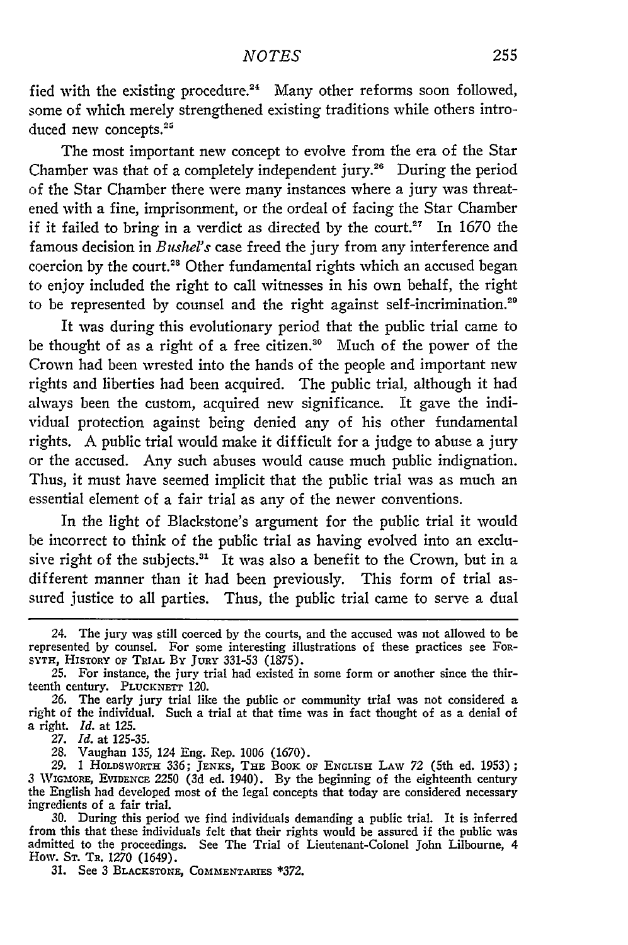fied with the existing procedure.<sup>24</sup> Many other reforms soon followed, some of which merely strengthened existing traditions while others introduced new concepts.<sup>25</sup>

The most important new concept to evolve from the era of the Star Chamber was that of a completely independent jury.<sup>26</sup> During the period of the Star Chamber there were many instances where a jury was threatened with a fine, imprisonment, or the ordeal of facing the Star Chamber if it failed to bring in a verdict as directed by the court.<sup>27</sup> In 1670 the famous decision in *Bushel's* case freed the jury from any interference and coercion by the court.<sup>28</sup> Other fundamental rights which an accused begar to enjoy included the right to call witnesses in his own behalf, the right to be represented by counsel and the right against self-incrimination.<sup>29</sup>

It was during this evolutionary period that the public trial came to be thought of as a right of a free citizen." Much of the power of the Crown had been wrested into the hands of the people and important new rights and liberties had been acquired. The public trial, although it had always been the custom, acquired new significance. It gave the individual protection against being denied any of his other fundamental rights. A public trial would make it difficult for a judge to abuse a jury or the accused. Any such abuses would cause much public indignation. Thus, it must have seemed implicit that the public trial was as much an essential element of a fair trial as any of the newer conventions.

In the light of Blackstone's argument for the public trial it would be incorrect to think of the public trial as having evolved into an exclusive right of the subjects.<sup>31</sup> It was also a benefit to the Crown, but in a different manner than it had been previously. This form of trial assured justice to all parties. Thus, the public trial came to serve a dual

<sup>24.</sup> The jury was still coerced by the courts, and the accused was not allowed to be represented by counsel. For some interesting illustrations of these practices see FOR-SYTH, HISTORY **OF TRIAL** BY JURY 331-53 (1875).

<sup>25.</sup> For instance, the jury trial had existed in some form or another since the thirteenth century. **PLUCKNETT** 120.

*<sup>26.</sup>* The early jury trial like the public or community trial was not considered a right of the individual. Such a trial at that time was in fact thought of as a denial of a right. *Id.* at 125.

*<sup>27.</sup> Id.* at 125-35.

*<sup>28.</sup>* Vaughan 135, 124 Eng. Rep. 1006 (1670). **29. 1** HOLDSWORTH 336; JENEs, **THE BOOK** OF **ENGLISH** LAW *72* (5th ed. 1953); *<sup>3</sup>*WIGMORE, EVmENcE 2250 (3d ed. 1940). By the beginning of the eighteenth century the English had developed most of the legal concepts that today are considered necessary ingredients of a fair trial.

**<sup>30.</sup>** During this period we find individuals demanding a public trial. It is inferred from this that these individuals felt that their rights would be assured if the public was admitted to the proceedings. See The Trial of Lieutenant-Colonel John Lilbourne, 4 How. **ST.** TR. 1270 (1649).

**<sup>31.</sup>** See 3 **BLACKSTONE, COMMENTARIES** \*372.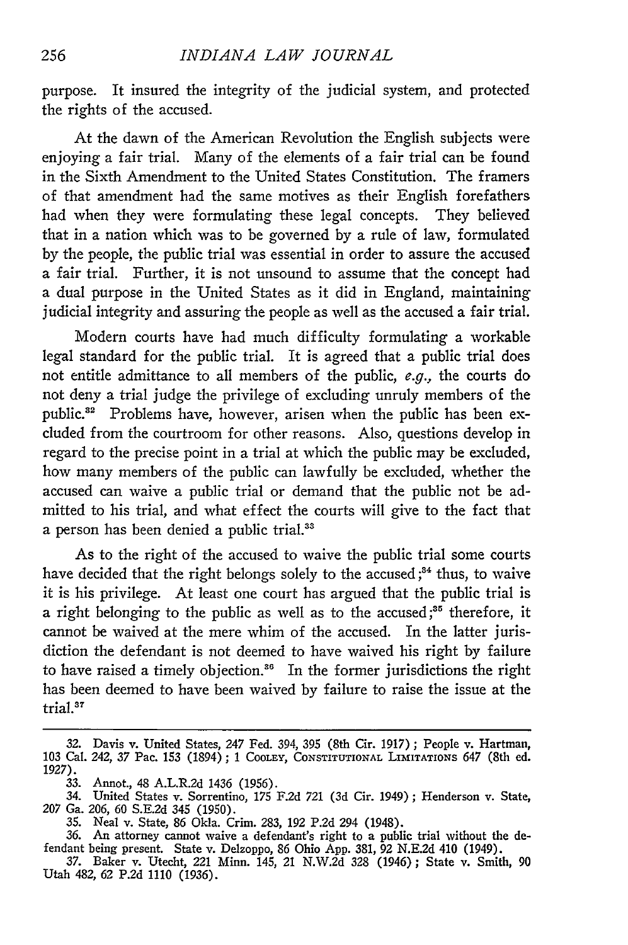purpose. It insured the integrity of the judicial system, and protected the rights of the accused.

At the dawn of the American Revolution the English subjects were enjoying a fair trial. Many of the elements of a fair trial can be found in the Sixth Amendment to the United States Constitution. The framers of that amendment had the same motives as their English forefathers had when they were formulating these legal concepts. They believed that in a nation which was to be governed by a rule of law, formulated by the people, the public trial was essential in order to assure the accused a fair trial. Further, it is not unsound to assume that the concept had a dual purpose in the United States as it did in England, maintaining judicial integrity and assuring the people as well as the accused a fair trial.

Modern courts have had much difficulty formulating a workable legal standard for the public trial. It is agreed that a public trial does not entitle admittance to all members of the public, e.g., the courts do not deny a trial judge the privilege of excluding unruly members of the public.<sup>32</sup> Problems have, however, arisen when the public has been excluded from the courtroom for other reasons. Also, questions develop in regard to the precise point in a trial at which the public may be excluded, how many members of the public can lawfully be excluded, whether the accused can waive a public trial or demand that the public not be admitted to his trial, and what effect the courts will give to the fact that a person has been denied a public trial.<sup>31</sup>

As to the right of the accused to waive the public trial some courts have decided that the right belongs solely to the accused;<sup>34</sup> thus, to waive it is his privilege. At least one court has argued that the public trial is a right belonging to the public as well as to the accused **;5** therefore, it cannot be waived at the mere whim of the accused. In the latter jurisdiction the defendant is not deemed to have waived his right by failure to have raised a timely objection."6 In the former jurisdictions the right has been deemed to have been waived by failure to raise the issue at the trial.<sup>37</sup>

<sup>32.</sup> Davis v. United States, *247* Fed. 394, 395 (8th Cir. 1917) ; People v. Hartman, 103 Cal. 242, 37 Pac. 153 (1894) ; 1 COOLEY, **CONSTITUTIONAL** LImITATIONS 647 (8th ed. **1927).**

<sup>33.</sup> Annot., 48 A.L.R.2d 1436 (1956).

<sup>34.</sup> United States v. Sorrentino, 175 F.2d 721 (3d Cir. 1949) ; Henderson v. State, *207* Ga. *206,* 60 S.E.2d 345 (1950).

<sup>35.</sup> Neal v. State, 86 Okla. Crim. 283, 192 P.2d 294 (1948).

<sup>36.</sup> An attorney cannot waive a defendant's right to a public trial without the defendant being present. State v. Delzoppo, 86 Ohio App. 381, 92 N.E.2d 410 (1949).

<sup>37.</sup> Baker v. Utecht, 221 Minn. 145, 21 N.W.2d 328 (1946); State v. Smith, 90 Utah 482, **62 P.2d 1110 (1936).**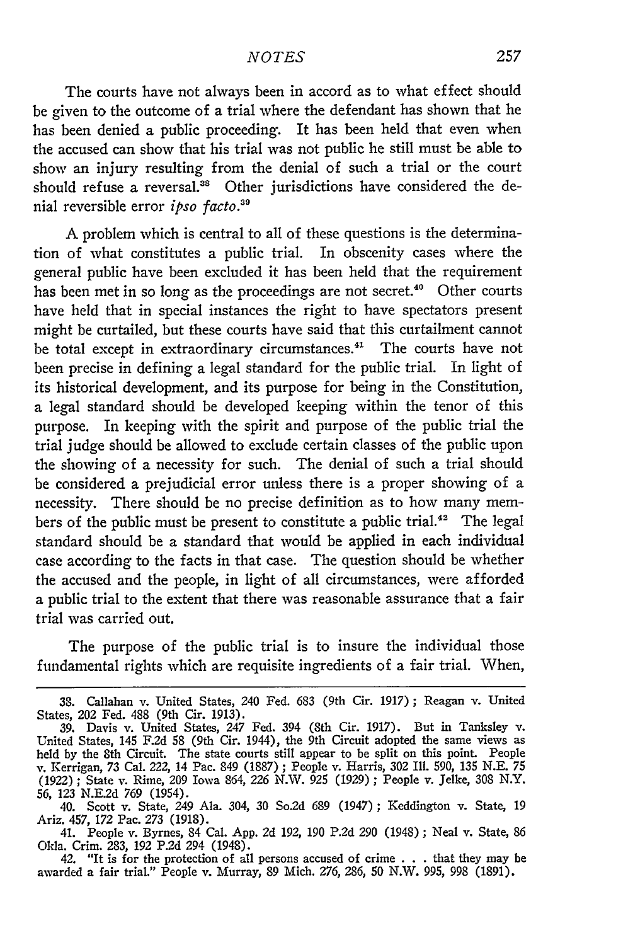The courts have not always been in accord as to what effect should be given to the outcome of a trial where the defendant has shown that he has been denied a public proceeding. It has been held that even when the accused can show that his trial was not public he still must be able to show an injury resulting from the denial of such a trial or the court should refuse a reversal.<sup>38</sup> Other jurisdictions have considered the denial reversible error ipso facto.*<sup>3</sup> "*

A problem which is central to all of these questions is the determination of what constitutes a public trial. In obscenity cases where the general public have been excluded it has been held that the requirement has been met in so long as the proceedings are not secret.<sup>40</sup> Other courts have held that in special instances the right to have spectators present might be curtailed, but these courts have said that this curtailment cannot be total except in extraordinary circumstances.<sup>41</sup> The courts have not been precise in defining a legal standard for the public trial. In light of its historical development, and its purpose for being in the Constitution, a legal standard should be developed keeping within the tenor of this purpose. In keeping with the spirit and purpose of the public trial the trial judge should be allowed to exclude certain classes of the public upon the showing of a necessity for such. The denial of such a trial should be considered a prejudicial error unless there is a proper showing of a necessity. There should be no precise definition as to how many members of the public must be present to constitute a public trial.<sup>42</sup> The legal standard should be a standard that would be applied in each individual case according to the facts in that case. The question should be whether the accused and the people, in light of all circumstances, were afforded a public trial to the extent that there was reasonable assurance that a fair trial was carried out.

The purpose of the public trial is to insure the individual those fundamental rights which are requisite ingredients of a fair trial. When,

42. "It is for the protection of all persons accused of crime . . . that they may be awarded a fair trial." People v. Murray, 89 Mich. 276, 286, 50 N.W. 995, 998 (1891).

<sup>38.</sup> Callahan v. United States, 240 Fed. 683 (9th Cir. 1917); Reagan v. United States, 202 Fed. 488 (9th Cir. 1913).

**<sup>39.</sup>** Davis v. United States, 247 Fed. 394 (8th Cir. 1917). But in Tanksley v. United States, 145 F.2d 58 (9th Cir. 1944), the 9th Circuit adopted the same views as held by the 8th Circuit. The state courts still appear to be split on this point. People v. Kerrigan, 73 Cal. 222, 14 Pac. 849 (1887) ; People v. Harris, 302 Ill. 590, 135 N.E. 75 (1922) ; State v. Rime, 209 Iowa 864, 226 N.W. 925 (1929); People v. Jelke, 308 N.Y. 56, 123 N.E.2d 769 (1954).

<sup>40.</sup> Scott v. State, 249 Ala. 304, 30 So.2d 689 (1947); Keddington v. State, 19 Ariz. 457, 172 Pac. *273* (1918).

<sup>41.</sup> People v. Byrnes, 84 Cal. App. 2d 192, 190 P.2d 290 (1948) ; Neal v. State, 86 Okla. Crim. 283, 192 P.2d 294 (1948).